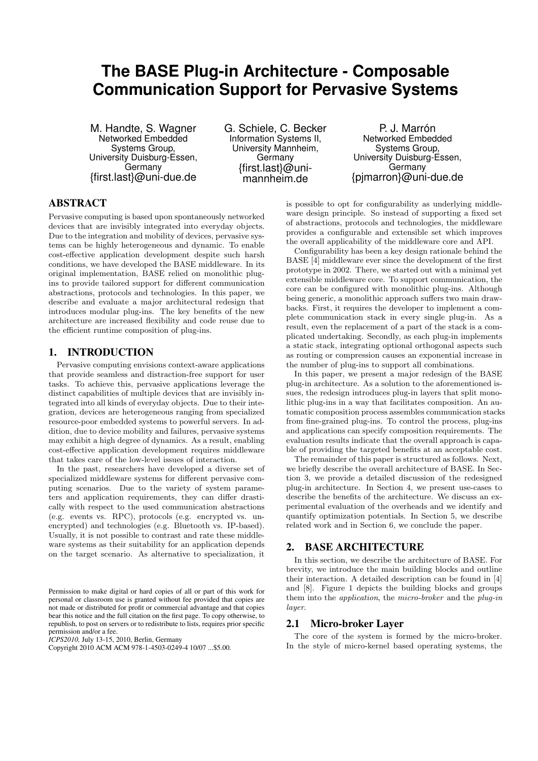# **The BASE Plug-in Architecture - Composable Communication Support for Pervasive Systems**

M. Handte, S. Wagner Networked Embedded Systems Group, University Duisburg-Essen, **Germany** {first.last}@uni-due.de G. Schiele, C. Becker Information Systems II, University Mannheim, **Germany** {first.last}@unimannheim.de

P. J. Marrón Networked Embedded Systems Group, University Duisburg-Essen, **Germany** {pjmarron}@uni-due.de

# ABSTRACT

Pervasive computing is based upon spontaneously networked devices that are invisibly integrated into everyday objects. Due to the integration and mobility of devices, pervasive systems can be highly heterogeneous and dynamic. To enable cost-effective application development despite such harsh conditions, we have developed the BASE middleware. In its original implementation, BASE relied on monolithic plugins to provide tailored support for different communication abstractions, protocols and technologies. In this paper, we describe and evaluate a major architectural redesign that introduces modular plug-ins. The key benefits of the new architecture are increased flexibility and code reuse due to the efficient runtime composition of plug-ins.

#### 1. INTRODUCTION

Pervasive computing envisions context-aware applications that provide seamless and distraction-free support for user tasks. To achieve this, pervasive applications leverage the distinct capabilities of multiple devices that are invisibly integrated into all kinds of everyday objects. Due to their integration, devices are heterogeneous ranging from specialized resource-poor embedded systems to powerful servers. In addition, due to device mobility and failures, pervasive systems may exhibit a high degree of dynamics. As a result, enabling cost-effective application development requires middleware that takes care of the low-level issues of interaction.

In the past, researchers have developed a diverse set of specialized middleware systems for different pervasive computing scenarios. Due to the variety of system parameters and application requirements, they can differ drastically with respect to the used communication abstractions (e.g. events vs. RPC), protocols (e.g. encrypted vs. unencrypted) and technologies (e.g. Bluetooth vs. IP-based). Usually, it is not possible to contrast and rate these middleware systems as their suitability for an application depends on the target scenario. As alternative to specialization, it

*ICPS2010,* July 13-15, 2010, Berlin, Germany

is possible to opt for configurability as underlying middleware design principle. So instead of supporting a fixed set of abstractions, protocols and technologies, the middleware provides a configurable and extensible set which improves the overall applicability of the middleware core and API.

Configurability has been a key design rationale behind the BASE [4] middleware ever since the development of the first prototype in 2002. There, we started out with a minimal yet extensible middleware core. To support communication, the core can be configured with monolithic plug-ins. Although being generic, a monolithic approach suffers two main drawbacks. First, it requires the developer to implement a complete communication stack in every single plug-in. As a result, even the replacement of a part of the stack is a complicated undertaking. Secondly, as each plug-in implements a static stack, integrating optional orthogonal aspects such as routing or compression causes an exponential increase in the number of plug-ins to support all combinations.

In this paper, we present a major redesign of the BASE plug-in architecture. As a solution to the aforementioned issues, the redesign introduces plug-in layers that split monolithic plug-ins in a way that facilitates composition. An automatic composition process assembles communication stacks from fine-grained plug-ins. To control the process, plug-ins and applications can specify composition requirements. The evaluation results indicate that the overall approach is capable of providing the targeted benefits at an acceptable cost.

The remainder of this paper is structured as follows. Next, we briefly describe the overall architecture of BASE. In Section 3, we provide a detailed discussion of the redesigned plug-in architecture. In Section 4, we present use-cases to describe the benefits of the architecture. We discuss an experimental evaluation of the overheads and we identify and quantify optimization potentials. In Section 5, we describe related work and in Section 6, we conclude the paper.

#### 2. BASE ARCHITECTURE

In this section, we describe the architecture of BASE. For brevity, we introduce the main building blocks and outline their interaction. A detailed description can be found in [4] and [8]. Figure 1 depicts the building blocks and groups them into the application, the micro-broker and the plug-in layer.

#### 2.1 Micro-broker Layer

The core of the system is formed by the micro-broker. In the style of micro-kernel based operating systems, the

Permission to make digital or hard copies of all or part of this work for personal or classroom use is granted without fee provided that copies are not made or distributed for profit or commercial advantage and that copies bear this notice and the full citation on the first page. To copy otherwise, to republish, to post on servers or to redistribute to lists, requires prior specific permission and/or a fee.

Copyright 2010 ACM ACM 978-1-4503-0249-4 10/07 ...\$5.00.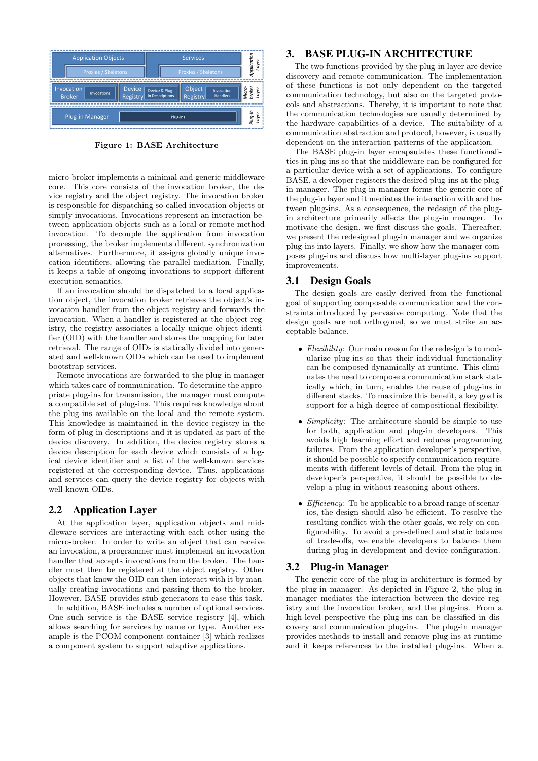

Figure 1: BASE Architecture

micro-broker implements a minimal and generic middleware core. This core consists of the invocation broker, the device registry and the object registry. The invocation broker is responsible for dispatching so-called invocation objects or simply invocations. Invocations represent an interaction between application objects such as a local or remote method invocation. To decouple the application from invocation processing, the broker implements different synchronization alternatives. Furthermore, it assigns globally unique invocation identifiers, allowing the parallel mediation. Finally, it keeps a table of ongoing invocations to support different execution semantics.

If an invocation should be dispatched to a local application object, the invocation broker retrieves the object's invocation handler from the object registry and forwards the invocation. When a handler is registered at the object registry, the registry associates a locally unique object identifier (OID) with the handler and stores the mapping for later retrieval. The range of OIDs is statically divided into generated and well-known OIDs which can be used to implement bootstrap services.

Remote invocations are forwarded to the plug-in manager which takes care of communication. To determine the appropriate plug-ins for transmission, the manager must compute a compatible set of plug-ins. This requires knowledge about the plug-ins available on the local and the remote system. This knowledge is maintained in the device registry in the form of plug-in descriptions and it is updated as part of the device discovery. In addition, the device registry stores a device description for each device which consists of a logical device identifier and a list of the well-known services registered at the corresponding device. Thus, applications and services can query the device registry for objects with well-known OIDs.

## 2.2 Application Layer

At the application layer, application objects and middleware services are interacting with each other using the micro-broker. In order to write an object that can receive an invocation, a programmer must implement an invocation handler that accepts invocations from the broker. The handler must then be registered at the object registry. Other objects that know the OID can then interact with it by manually creating invocations and passing them to the broker. However, BASE provides stub generators to ease this task.

In addition, BASE includes a number of optional services. One such service is the BASE service registry [4], which allows searching for services by name or type. Another example is the PCOM component container [3] which realizes a component system to support adaptive applications.

# 3. BASE PLUG-IN ARCHITECTURE

The two functions provided by the plug-in layer are device discovery and remote communication. The implementation of these functions is not only dependent on the targeted communication technology, but also on the targeted protocols and abstractions. Thereby, it is important to note that the communication technologies are usually determined by the hardware capabilities of a device. The suitability of a communication abstraction and protocol, however, is usually dependent on the interaction patterns of the application.

The BASE plug-in layer encapsulates these functionalities in plug-ins so that the middleware can be configured for a particular device with a set of applications. To configure BASE, a developer registers the desired plug-ins at the plugin manager. The plug-in manager forms the generic core of the plug-in layer and it mediates the interaction with and between plug-ins. As a consequence, the redesign of the plugin architecture primarily affects the plug-in manager. To motivate the design, we first discuss the goals. Thereafter, we present the redesigned plug-in manager and we organize plug-ins into layers. Finally, we show how the manager composes plug-ins and discuss how multi-layer plug-ins support improvements.

# 3.1 Design Goals

The design goals are easily derived from the functional goal of supporting composable communication and the constraints introduced by pervasive computing. Note that the design goals are not orthogonal, so we must strike an acceptable balance.

- Flexibility: Our main reason for the redesign is to modularize plug-ins so that their individual functionality can be composed dynamically at runtime. This eliminates the need to compose a communication stack statically which, in turn, enables the reuse of plug-ins in different stacks. To maximize this benefit, a key goal is support for a high degree of compositional flexibility.
- Simplicity: The architecture should be simple to use for both, application and plug-in developers. This avoids high learning effort and reduces programming failures. From the application developer's perspective, it should be possible to specify communication requirements with different levels of detail. From the plug-in developer's perspective, it should be possible to develop a plug-in without reasoning about others.
- Efficiency: To be applicable to a broad range of scenarios, the design should also be efficient. To resolve the resulting conflict with the other goals, we rely on configurability. To avoid a pre-defined and static balance of trade-offs, we enable developers to balance them during plug-in development and device configuration.

# 3.2 Plug-in Manager

The generic core of the plug-in architecture is formed by the plug-in manager. As depicted in Figure 2, the plug-in manager mediates the interaction between the device registry and the invocation broker, and the plug-ins. From a high-level perspective the plug-ins can be classified in discovery and communication plug-ins. The plug-in manager provides methods to install and remove plug-ins at runtime and it keeps references to the installed plug-ins. When a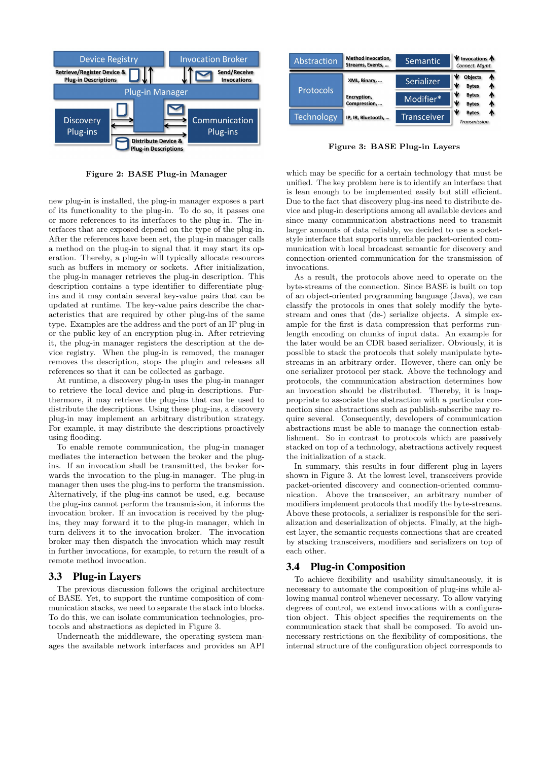

Figure 2: BASE Plug-in Manager

new plug-in is installed, the plug-in manager exposes a part of its functionality to the plug-in. To do so, it passes one or more references to its interfaces to the plug-in. The interfaces that are exposed depend on the type of the plug-in. After the references have been set, the plug-in manager calls a method on the plug-in to signal that it may start its operation. Thereby, a plug-in will typically allocate resources such as buffers in memory or sockets. After initialization, the plug-in manager retrieves the plug-in description. This description contains a type identifier to differentiate plugins and it may contain several key-value pairs that can be updated at runtime. The key-value pairs describe the characteristics that are required by other plug-ins of the same type. Examples are the address and the port of an IP plug-in or the public key of an encryption plug-in. After retrieving it, the plug-in manager registers the description at the device registry. When the plug-in is removed, the manager removes the description, stops the plugin and releases all references so that it can be collected as garbage.

At runtime, a discovery plug-in uses the plug-in manager to retrieve the local device and plug-in descriptions. Furthermore, it may retrieve the plug-ins that can be used to distribute the descriptions. Using these plug-ins, a discovery plug-in may implement an arbitrary distribution strategy. For example, it may distribute the descriptions proactively using flooding.

To enable remote communication, the plug-in manager mediates the interaction between the broker and the plugins. If an invocation shall be transmitted, the broker forwards the invocation to the plug-in manager. The plug-in manager then uses the plug-ins to perform the transmission. Alternatively, if the plug-ins cannot be used, e.g. because the plug-ins cannot perform the transmission, it informs the invocation broker. If an invocation is received by the plugins, they may forward it to the plug-in manager, which in turn delivers it to the invocation broker. The invocation broker may then dispatch the invocation which may result in further invocations, for example, to return the result of a remote method invocation.

### 3.3 Plug-in Layers

The previous discussion follows the original architecture of BASE. Yet, to support the runtime composition of communication stacks, we need to separate the stack into blocks. To do this, we can isolate communication technologies, protocols and abstractions as depicted in Figure 3.

Underneath the middleware, the operating system manages the available network interfaces and provides an API



Figure 3: BASE Plug-in Layers

which may be specific for a certain technology that must be unified. The key problem here is to identify an interface that is lean enough to be implemented easily but still efficient. Due to the fact that discovery plug-ins need to distribute device and plug-in descriptions among all available devices and since many communication abstractions need to transmit larger amounts of data reliably, we decided to use a socketstyle interface that supports unreliable packet-oriented communication with local broadcast semantic for discovery and connection-oriented communication for the transmission of invocations.

As a result, the protocols above need to operate on the byte-streams of the connection. Since BASE is built on top of an object-oriented programming language (Java), we can classify the protocols in ones that solely modify the bytestream and ones that (de-) serialize objects. A simple example for the first is data compression that performs runlength encoding on chunks of input data. An example for the later would be an CDR based serializer. Obviously, it is possible to stack the protocols that solely manipulate bytestreams in an arbitrary order. However, there can only be one serializer protocol per stack. Above the technology and protocols, the communication abstraction determines how an invocation should be distributed. Thereby, it is inappropriate to associate the abstraction with a particular connection since abstractions such as publish-subscribe may require several. Consequently, developers of communication abstractions must be able to manage the connection establishment. So in contrast to protocols which are passively stacked on top of a technology, abstractions actively request the initialization of a stack.

In summary, this results in four different plug-in layers shown in Figure 3. At the lowest level, transceivers provide packet-oriented discovery and connection-oriented communication. Above the transceiver, an arbitrary number of modifiers implement protocols that modify the byte-streams. Above these protocols, a serializer is responsible for the serialization and deserialization of objects. Finally, at the highest layer, the semantic requests connections that are created by stacking transceivers, modifiers and serializers on top of each other.

# 3.4 Plug-in Composition

To achieve flexibility and usability simultaneously, it is necessary to automate the composition of plug-ins while allowing manual control whenever necessary. To allow varying degrees of control, we extend invocations with a configuration object. This object specifies the requirements on the communication stack that shall be composed. To avoid unnecessary restrictions on the flexibility of compositions, the internal structure of the configuration object corresponds to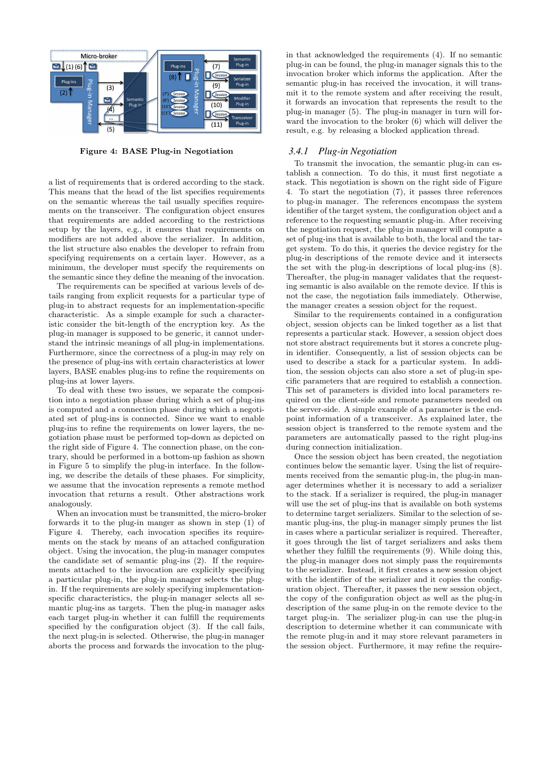

Figure 4: BASE Plug-in Negotiation

a list of requirements that is ordered according to the stack. This means that the head of the list specifies requirements on the semantic whereas the tail usually specifies requirements on the transceiver. The configuration object ensures that requirements are added according to the restrictions setup by the layers, e.g., it ensures that requirements on modifiers are not added above the serializer. In addition, the list structure also enables the developer to refrain from specifying requirements on a certain layer. However, as a minimum, the developer must specify the requirements on the semantic since they define the meaning of the invocation.

The requirements can be specified at various levels of details ranging from explicit requests for a particular type of plug-in to abstract requests for an implementation-specific characteristic. As a simple example for such a characteristic consider the bit-length of the encryption key. As the plug-in manager is supposed to be generic, it cannot understand the intrinsic meanings of all plug-in implementations. Furthermore, since the correctness of a plug-in may rely on the presence of plug-ins with certain characteristics at lower layers, BASE enables plug-ins to refine the requirements on plug-ins at lower layers.

To deal with these two issues, we separate the composition into a negotiation phase during which a set of plug-ins is computed and a connection phase during which a negotiated set of plug-ins is connected. Since we want to enable plug-ins to refine the requirements on lower layers, the negotiation phase must be performed top-down as depicted on the right side of Figure 4. The connection phase, on the contrary, should be performed in a bottom-up fashion as shown in Figure 5 to simplify the plug-in interface. In the following, we describe the details of these phases. For simplicity, we assume that the invocation represents a remote method invocation that returns a result. Other abstractions work analogously.

When an invocation must be transmitted, the micro-broker forwards it to the plug-in manger as shown in step (1) of Figure 4. Thereby, each invocation specifies its requirements on the stack by means of an attached configuration object. Using the invocation, the plug-in manager computes the candidate set of semantic plug-ins (2). If the requirements attached to the invocation are explicitly specifying a particular plug-in, the plug-in manager selects the plugin. If the requirements are solely specifying implementationspecific characteristics, the plug-in manager selects all semantic plug-ins as targets. Then the plug-in manager asks each target plug-in whether it can fulfill the requirements specified by the configuration object (3). If the call fails, the next plug-in is selected. Otherwise, the plug-in manager aborts the process and forwards the invocation to the plugin that acknowledged the requirements (4). If no semantic plug-in can be found, the plug-in manager signals this to the invocation broker which informs the application. After the semantic plug-in has received the invocation, it will transmit it to the remote system and after receiving the result, it forwards an invocation that represents the result to the plug-in manager (5). The plug-in manager in turn will forward the invocation to the broker (6) which will deliver the result, e.g. by releasing a blocked application thread.

#### *3.4.1 Plug-in Negotiation*

To transmit the invocation, the semantic plug-in can establish a connection. To do this, it must first negotiate a stack. This negotiation is shown on the right side of Figure 4. To start the negotiation (7), it passes three references to plug-in manager. The references encompass the system identifier of the target system, the configuration object and a reference to the requesting semantic plug-in. After receiving the negotiation request, the plug-in manager will compute a set of plug-ins that is available to both, the local and the target system. To do this, it queries the device registry for the plug-in descriptions of the remote device and it intersects the set with the plug-in descriptions of local plug-ins (8). Thereafter, the plug-in manager validates that the requesting semantic is also available on the remote device. If this is not the case, the negotiation fails immediately. Otherwise, the manager creates a session object for the request.

Similar to the requirements contained in a configuration object, session objects can be linked together as a list that represents a particular stack. However, a session object does not store abstract requirements but it stores a concrete plugin identifier. Consequently, a list of session objects can be used to describe a stack for a particular system. In addition, the session objects can also store a set of plug-in specific parameters that are required to establish a connection. This set of parameters is divided into local parameters required on the client-side and remote parameters needed on the server-side. A simple example of a parameter is the endpoint information of a transceiver. As explained later, the session object is transferred to the remote system and the parameters are automatically passed to the right plug-ins during connection initialization.

Once the session object has been created, the negotiation continues below the semantic layer. Using the list of requirements received from the semantic plug-in, the plug-in manager determines whether it is necessary to add a serializer to the stack. If a serializer is required, the plug-in manager will use the set of plug-ins that is available on both systems to determine target serializers. Similar to the selection of semantic plug-ins, the plug-in manager simply prunes the list in cases where a particular serializer is required. Thereafter, it goes through the list of target serializers and asks them whether they fulfill the requirements (9). While doing this, the plug-in manager does not simply pass the requirements to the serializer. Instead, it first creates a new session object with the identifier of the serializer and it copies the configuration object. Thereafter, it passes the new session object, the copy of the configuration object as well as the plug-in description of the same plug-in on the remote device to the target plug-in. The serializer plug-in can use the plug-in description to determine whether it can communicate with the remote plug-in and it may store relevant parameters in the session object. Furthermore, it may refine the require-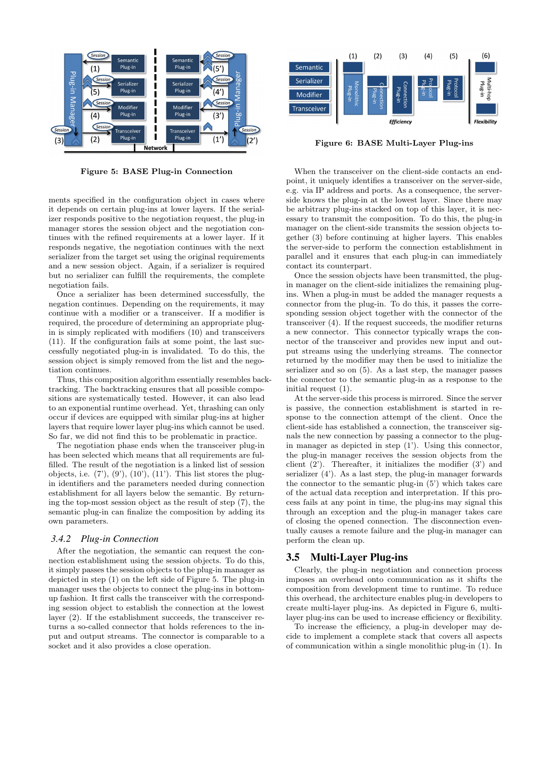

Figure 5: BASE Plug-in Connection

ments specified in the configuration object in cases where it depends on certain plug-ins at lower layers. If the serializer responds positive to the negotiation request, the plug-in manager stores the session object and the negotiation continues with the refined requirements at a lower layer. If it responds negative, the negotiation continues with the next serializer from the target set using the original requirements and a new session object. Again, if a serializer is required but no serializer can fulfill the requirements, the complete negotiation fails.

Once a serializer has been determined successfully, the negation continues. Depending on the requirements, it may continue with a modifier or a transceiver. If a modifier is required, the procedure of determining an appropriate plugin is simply replicated with modifiers (10) and transceivers (11). If the configuration fails at some point, the last successfully negotiated plug-in is invalidated. To do this, the session object is simply removed from the list and the negotiation continues.

Thus, this composition algorithm essentially resembles backtracking. The backtracking ensures that all possible compositions are systematically tested. However, it can also lead to an exponential runtime overhead. Yet, thrashing can only occur if devices are equipped with similar plug-ins at higher layers that require lower layer plug-ins which cannot be used. So far, we did not find this to be problematic in practice.

The negotiation phase ends when the transceiver plug-in has been selected which means that all requirements are fulfilled. The result of the negotiation is a linked list of session objects, i.e.  $(7')$ ,  $(9')$ ,  $(10')$ ,  $(11')$ . This list stores the plugin identifiers and the parameters needed during connection establishment for all layers below the semantic. By returning the top-most session object as the result of step (7), the semantic plug-in can finalize the composition by adding its own parameters.

#### *3.4.2 Plug-in Connection*

After the negotiation, the semantic can request the connection establishment using the session objects. To do this, it simply passes the session objects to the plug-in manager as depicted in step (1) on the left side of Figure 5. The plug-in manager uses the objects to connect the plug-ins in bottomup fashion. It first calls the transceiver with the corresponding session object to establish the connection at the lowest layer (2). If the establishment succeeds, the transceiver returns a so-called connector that holds references to the input and output streams. The connector is comparable to a socket and it also provides a close operation.



Figure 6: BASE Multi-Layer Plug-ins

When the transceiver on the client-side contacts an endpoint, it uniquely identifies a transceiver on the server-side, e.g. via IP address and ports. As a consequence, the serverside knows the plug-in at the lowest layer. Since there may be arbitrary plug-ins stacked on top of this layer, it is necessary to transmit the composition. To do this, the plug-in manager on the client-side transmits the session objects together (3) before continuing at higher layers. This enables the server-side to perform the connection establishment in parallel and it ensures that each plug-in can immediately contact its counterpart.

Once the session objects have been transmitted, the plugin manager on the client-side initializes the remaining plugins. When a plug-in must be added the manager requests a connector from the plug-in. To do this, it passes the corresponding session object together with the connector of the transceiver (4). If the request succeeds, the modifier returns a new connector. This connector typically wraps the connector of the transceiver and provides new input and output streams using the underlying streams. The connector returned by the modifier may then be used to initialize the serializer and so on (5). As a last step, the manager passes the connector to the semantic plug-in as a response to the initial request (1).

At the server-side this process is mirrored. Since the server is passive, the connection establishment is started in response to the connection attempt of the client. Once the client-side has established a connection, the transceiver signals the new connection by passing a connector to the plugin manager as depicted in step (1'). Using this connector, the plug-in manager receives the session objects from the client (2'). Thereafter, it initializes the modifier (3') and serializer (4'). As a last step, the plug-in manager forwards the connector to the semantic plug-in (5') which takes care of the actual data reception and interpretation. If this process fails at any point in time, the plug-ins may signal this through an exception and the plug-in manager takes care of closing the opened connection. The disconnection eventually causes a remote failure and the plug-in manager can perform the clean up.

#### 3.5 Multi-Layer Plug-ins

Clearly, the plug-in negotiation and connection process imposes an overhead onto communication as it shifts the composition from development time to runtime. To reduce this overhead, the architecture enables plug-in developers to create multi-layer plug-ins. As depicted in Figure 6, multilayer plug-ins can be used to increase efficiency or flexibility.

To increase the efficiency, a plug-in developer may decide to implement a complete stack that covers all aspects of communication within a single monolithic plug-in (1). In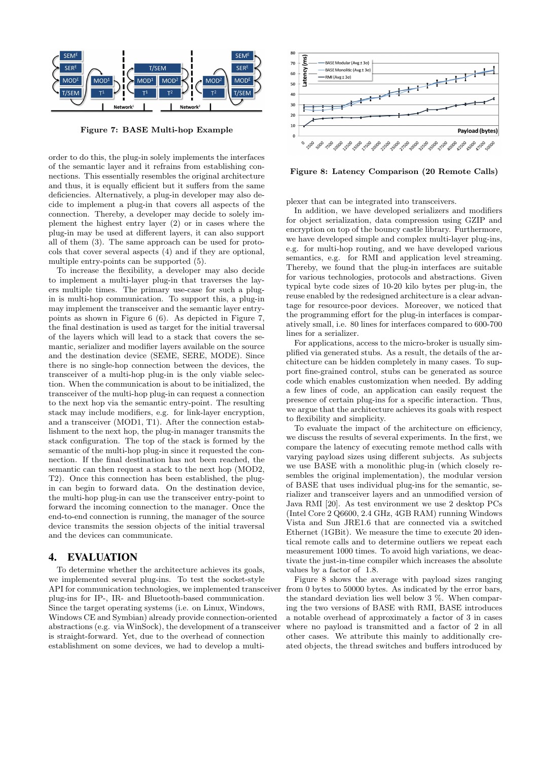

Figure 7: BASE Multi-hop Example

order to do this, the plug-in solely implements the interfaces of the semantic layer and it refrains from establishing connections. This essentially resembles the original architecture and thus, it is equally efficient but it suffers from the same deficiencies. Alternatively, a plug-in developer may also decide to implement a plug-in that covers all aspects of the connection. Thereby, a developer may decide to solely implement the highest entry layer (2) or in cases where the plug-in may be used at different layers, it can also support all of them (3). The same approach can be used for protocols that cover several aspects (4) and if they are optional, multiple entry-points can be supported (5).

To increase the flexibility, a developer may also decide to implement a multi-layer plug-in that traverses the layers multiple times. The primary use-case for such a plugin is multi-hop communication. To support this, a plug-in may implement the transceiver and the semantic layer entrypoints as shown in Figure 6 (6). As depicted in Figure 7, the final destination is used as target for the initial traversal of the layers which will lead to a stack that covers the semantic, serializer and modifier layers available on the source and the destination device (SEME, SERE, MODE). Since there is no single-hop connection between the devices, the transceiver of a multi-hop plug-in is the only viable selection. When the communication is about to be initialized, the transceiver of the multi-hop plug-in can request a connection to the next hop via the semantic entry-point. The resulting stack may include modifiers, e.g. for link-layer encryption, and a transceiver (MOD1, T1). After the connection establishment to the next hop, the plug-in manager transmits the stack configuration. The top of the stack is formed by the semantic of the multi-hop plug-in since it requested the connection. If the final destination has not been reached, the semantic can then request a stack to the next hop (MOD2, T2). Once this connection has been established, the plugin can begin to forward data. On the destination device, the multi-hop plug-in can use the transceiver entry-point to forward the incoming connection to the manager. Once the end-to-end connection is running, the manager of the source device transmits the session objects of the initial traversal and the devices can communicate.

#### 4. EVALUATION

To determine whether the architecture achieves its goals, we implemented several plug-ins. To test the socket-style API for communication technologies, we implemented transceiver plug-ins for IP-, IR- and Bluetooth-based communication. Since the target operating systems (i.e. on Linux, Windows, Windows CE and Symbian) already provide connection-oriented abstractions (e.g. via WinSock), the development of a transceiver is straight-forward. Yet, due to the overhead of connection establishment on some devices, we had to develop a multi-



Figure 8: Latency Comparison (20 Remote Calls)

plexer that can be integrated into transceivers.

In addition, we have developed serializers and modifiers for object serialization, data compression using GZIP and encryption on top of the bouncy castle library. Furthermore, we have developed simple and complex multi-layer plug-ins, e.g. for multi-hop routing, and we have developed various semantics, e.g. for RMI and application level streaming. Thereby, we found that the plug-in interfaces are suitable for various technologies, protocols and abstractions. Given typical byte code sizes of 10-20 kilo bytes per plug-in, the reuse enabled by the redesigned architecture is a clear advantage for resource-poor devices. Moreover, we noticed that the programming effort for the plug-in interfaces is comparatively small, i.e. 80 lines for interfaces compared to 600-700 lines for a serializer.

For applications, access to the micro-broker is usually simplified via generated stubs. As a result, the details of the architecture can be hidden completely in many cases. To support fine-grained control, stubs can be generated as source code which enables customization when needed. By adding a few lines of code, an application can easily request the presence of certain plug-ins for a specific interaction. Thus, we argue that the architecture achieves its goals with respect to flexibility and simplicity.

To evaluate the impact of the architecture on efficiency, we discuss the results of several experiments. In the first, we compare the latency of executing remote method calls with varying payload sizes using different subjects. As subjects we use BASE with a monolithic plug-in (which closely resembles the original implementation), the modular version of BASE that uses individual plug-ins for the semantic, serializer and transceiver layers and an unmodified version of Java RMI [20]. As test environment we use 2 desktop PCs (Intel Core 2 Q6600, 2.4 GHz, 4GB RAM) running Windows Vista and Sun JRE1.6 that are connected via a switched Ethernet (1GBit). We measure the time to execute 20 identical remote calls and to determine outliers we repeat each measurement 1000 times. To avoid high variations, we deactivate the just-in-time compiler which increases the absolute values by a factor of 1.8.

Figure 8 shows the average with payload sizes ranging from 0 bytes to 50000 bytes. As indicated by the error bars, the standard deviation lies well below 3 %. When comparing the two versions of BASE with RMI, BASE introduces a notable overhead of approximately a factor of 3 in cases where no payload is transmitted and a factor of 2 in all other cases. We attribute this mainly to additionally created objects, the thread switches and buffers introduced by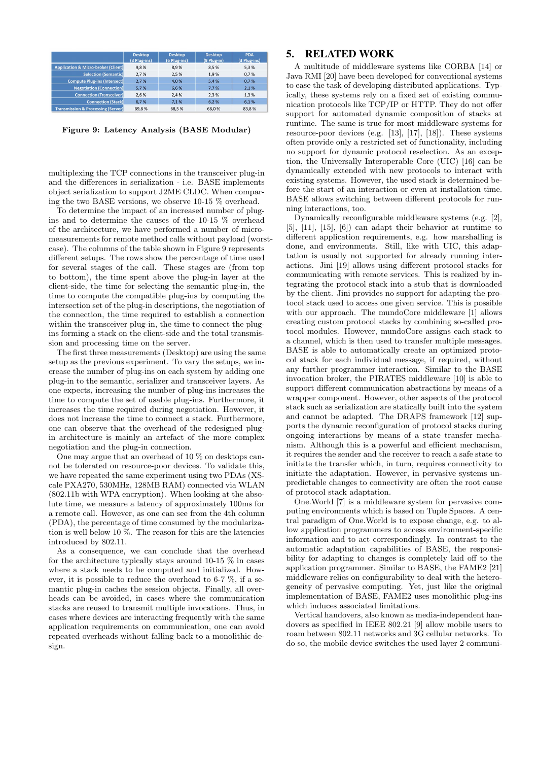|                                                | <b>Desktop</b><br>(3 Plug-ins) | <b>Desktop</b><br>(6 Plug-ins) | <b>Desktop</b><br>$(9$ Plug-in) | <b>PDA</b><br>(3 Plug-ins) |
|------------------------------------------------|--------------------------------|--------------------------------|---------------------------------|----------------------------|
| <b>Application &amp; Micro-broker (Client)</b> | 9,8%                           | 8,9%                           | 8,5%                            | 5,3%                       |
| <b>Selection (Semantic)</b>                    | 2.7%                           | 2.5%                           | 1.9%                            | 0.7%                       |
| <b>Compute Plug-ins (Intersect)</b>            | 2.7%                           | 4.0%                           | 5.4%                            | 0.7%                       |
| <b>Negotiation (Connection)</b>                | 5,7%                           | 6.6%                           | 7.7%                            | 2.1%                       |
| <b>Connection (Transceiver)</b>                | 2,6%                           | 2,4%                           | 2,3%                            | 1,3%                       |
| <b>Connection (Stack)</b>                      | 6.7%                           | 7.1%                           | 6.2%                            | 6.1%                       |
| <b>Transmission &amp; Processing (Server)</b>  | 69.8%                          | 68.5%                          | 68.0%                           | 83.8%                      |

Figure 9: Latency Analysis (BASE Modular)

multiplexing the TCP connections in the transceiver plug-in and the differences in serialization - i.e. BASE implements object serialization to support J2ME CLDC. When comparing the two BASE versions, we observe 10-15 % overhead.

To determine the impact of an increased number of plugins and to determine the causes of the 10-15 % overhead of the architecture, we have performed a number of micromeasurements for remote method calls without payload (worstcase). The columns of the table shown in Figure 9 represents different setups. The rows show the percentage of time used for several stages of the call. These stages are (from top to bottom), the time spent above the plug-in layer at the client-side, the time for selecting the semantic plug-in, the time to compute the compatible plug-ins by computing the intersection set of the plug-in descriptions, the negotiation of the connection, the time required to establish a connection within the transceiver plug-in, the time to connect the plugins forming a stack on the client-side and the total transmission and processing time on the server.

The first three measurements (Desktop) are using the same setup as the previous experiment. To vary the setups, we increase the number of plug-ins on each system by adding one plug-in to the semantic, serializer and transceiver layers. As one expects, increasing the number of plug-ins increases the time to compute the set of usable plug-ins. Furthermore, it increases the time required during negotiation. However, it does not increase the time to connect a stack. Furthermore, one can observe that the overhead of the redesigned plugin architecture is mainly an artefact of the more complex negotiation and the plug-in connection.

One may argue that an overhead of 10 % on desktops cannot be tolerated on resource-poor devices. To validate this, we have repeated the same experiment using two PDAs (XScale PXA270, 530MHz, 128MB RAM) connected via WLAN (802.11b with WPA encryption). When looking at the absolute time, we measure a latency of approximately 100ms for a remote call. However, as one can see from the 4th column (PDA), the percentage of time consumed by the modularization is well below 10 %. The reason for this are the latencies introduced by 802.11.

As a consequence, we can conclude that the overhead for the architecture typically stays around 10-15  $\%$  in cases where a stack needs to be computed and initialized. However, it is possible to reduce the overhead to 6-7 %, if a semantic plug-in caches the session objects. Finally, all overheads can be avoided, in cases where the communication stacks are reused to transmit multiple invocations. Thus, in cases where devices are interacting frequently with the same application requirements on communication, one can avoid repeated overheads without falling back to a monolithic design.

# 5. RELATED WORK

A multitude of middleware systems like CORBA [14] or Java RMI [20] have been developed for conventional systems to ease the task of developing distributed applications. Typically, these systems rely on a fixed set of existing communication protocols like TCP/IP or HTTP. They do not offer support for automated dynamic composition of stacks at runtime. The same is true for most middleware systems for resource-poor devices (e.g. [13], [17], [18]). These systems often provide only a restricted set of functionality, including no support for dynamic protocol reselection. As an exception, the Universally Interoperable Core (UIC) [16] can be dynamically extended with new protocols to interact with existing systems. However, the used stack is determined before the start of an interaction or even at installation time. BASE allows switching between different protocols for running interactions, too.

Dynamically reconfigurable middleware systems (e.g. [2],  $[5]$ ,  $[11]$ ,  $[15]$ ,  $[6]$  can adapt their behavior at runtime to different application requirements, e.g. how marshalling is done, and environments. Still, like with UIC, this adaptation is usually not supported for already running interactions. Jini [19] allows using different protocol stacks for communicating with remote services. This is realized by integrating the protocol stack into a stub that is downloaded by the client. Jini provides no support for adapting the protocol stack used to access one given service. This is possible with our approach. The mundoCore middleware [1] allows creating custom protocol stacks by combining so-called protocol modules. However, mundoCore assigns each stack to a channel, which is then used to transfer multiple messages. BASE is able to automatically create an optimized protocol stack for each individual message, if required, without any further programmer interaction. Similar to the BASE invocation broker, the PIRATES middleware [10] is able to support different communication abstractions by means of a wrapper component. However, other aspects of the protocol stack such as serialization are statically built into the system and cannot be adapted. The DRAPS framework [12] supports the dynamic reconfiguration of protocol stacks during ongoing interactions by means of a state transfer mechanism. Although this is a powerful and efficient mechanism, it requires the sender and the receiver to reach a safe state to initiate the transfer which, in turn, requires connectivity to initiate the adaptation. However, in pervasive systems unpredictable changes to connectivity are often the root cause of protocol stack adaptation.

One.World [7] is a middleware system for pervasive computing environments which is based on Tuple Spaces. A central paradigm of One.World is to expose change, e.g. to allow application programmers to access environment-specific information and to act correspondingly. In contrast to the automatic adaptation capabilities of BASE, the responsibility for adapting to changes is completely laid off to the application programmer. Similar to BASE, the FAME2 [21] middleware relies on configurability to deal with the heterogeneity of pervasive computing. Yet, just like the original implementation of BASE, FAME2 uses monolithic plug-ins which induces associated limitations.

Vertical handovers, also known as media-independent handovers as specified in IEEE 802.21 [9] allow mobile users to roam between 802.11 networks and 3G cellular networks. To do so, the mobile device switches the used layer 2 communi